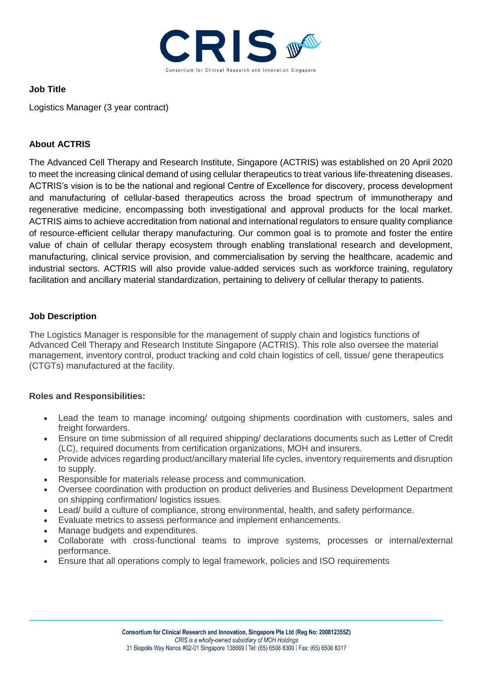

## **Job Title**

Logistics Manager (3 year contract)

# **About ACTRIS**

The Advanced Cell Therapy and Research Institute, Singapore (ACTRIS) was established on 20 April 2020 to meet the increasing clinical demand of using cellular therapeutics to treat various life-threatening diseases. ACTRIS's vision is to be the national and regional Centre of Excellence for discovery, process development and manufacturing of cellular-based therapeutics across the broad spectrum of immunotherapy and regenerative medicine, encompassing both investigational and approval products for the local market. ACTRIS aims to achieve accreditation from national and international regulators to ensure quality compliance of resource-efficient cellular therapy manufacturing. Our common goal is to promote and foster the entire value of chain of cellular therapy ecosystem through enabling translational research and development, manufacturing, clinical service provision, and commercialisation by serving the healthcare, academic and industrial sectors. ACTRIS will also provide value-added services such as workforce training, regulatory facilitation and ancillary material standardization, pertaining to delivery of cellular therapy to patients.

## **Job Description**

The Logistics Manager is responsible for the management of supply chain and logistics functions of Advanced Cell Therapy and Research Institute Singapore (ACTRIS). This role also oversee the material management, inventory control, product tracking and cold chain logistics of cell, tissue/ gene therapeutics (CTGTs) manufactured at the facility.

## **Roles and Responsibilities:**

- Lead the team to manage incoming/ outgoing shipments coordination with customers, sales and freight forwarders.
- Ensure on time submission of all required shipping/ declarations documents such as Letter of Credit (LC), required documents from certification organizations, MOH and insurers.
- Provide advices regarding product/ancillary material life cycles, inventory requirements and disruption to supply.
- Responsible for materials release process and communication.
- Oversee coordination with production on product deliveries and Business Development Department on shipping confirmation/ logistics issues.
- Lead/ build a culture of compliance, strong environmental, health, and safety performance.
- Evaluate metrics to assess performance and implement enhancements.
- Manage budgets and expenditures.
- Collaborate with cross-functional teams to improve systems, processes or internal/external performance.
- Ensure that all operations comply to legal framework, policies and ISO requirements